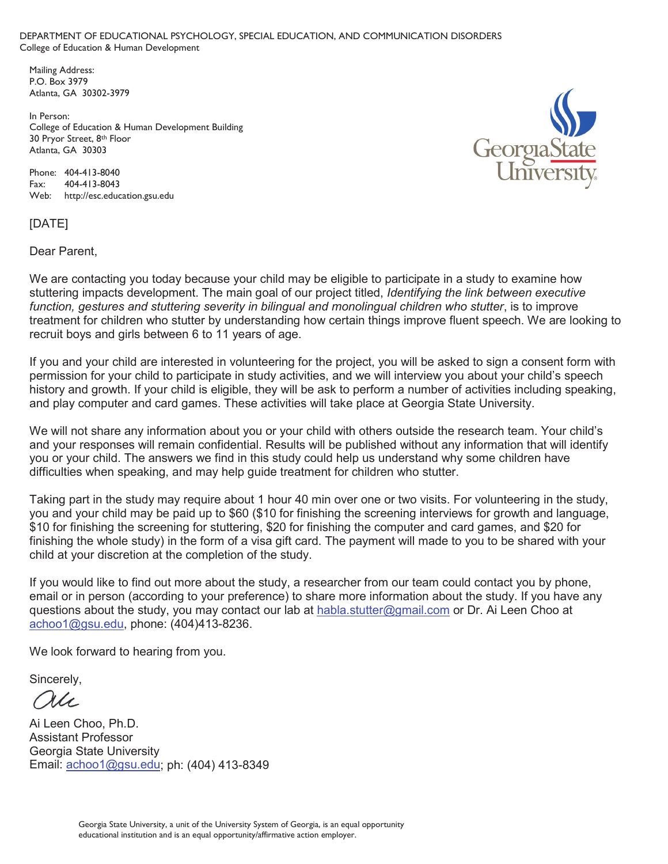DEPARTMENT OF EDUCATIONAL PSYCHOLOGY, SPECIAL EDUCATION, AND COMMUNICATION DISORDERS College of Education & Human Development

 Mailing Address: P.O. Box 3979 Atlanta, GA 30302-3979

 In Person: College of Education & Human Development Building 30 Pryor Street, 8th Floor Atlanta, GA 30303

 Phone: 404-413-8040 Fax: 404-413-8043 Web: http://esc.education.gsu.edu



## [DATE]

Dear Parent,

We are contacting you today because your child may be eligible to participate in a study to examine how stuttering impacts development. The main goal of our project titled, *Identifying the link between executive function, gestures and stuttering severity in bilingual and monolingual children who stutter*, is to improve treatment for children who stutter by understanding how certain things improve fluent speech. We are looking to recruit boys and girls between 6 to 11 years of age.

If you and your child are interested in volunteering for the project, you will be asked to sign a consent form with permission for your child to participate in study activities, and we will interview you about your child's speech history and growth. If your child is eligible, they will be ask to perform a number of activities including speaking, and play computer and card games. These activities will take place at Georgia State University.

We will not share any information about you or your child with others outside the research team. Your child's and your responses will remain confidential. Results will be published without any information that will identify you or your child. The answers we find in this study could help us understand why some children have difficulties when speaking, and may help guide treatment for children who stutter.

Taking part in the study may require about 1 hour 40 min over one or two visits. For volunteering in the study, you and your child may be paid up to \$60 (\$10 for finishing the screening interviews for growth and language, \$10 for finishing the screening for stuttering, \$20 for finishing the computer and card games, and \$20 for finishing the whole study) in the form of a visa gift card. The payment will made to you to be shared with your child at your discretion at the completion of the study.

If you would like to find out more about the study, a researcher from our team could contact you by phone, email or in person (according to your preference) to share more information about the study. If you have any questions about the study, you may contact our lab at habla.stutter@gmail.com or Dr. Ai Leen Choo at achoo1@gsu.edu, phone: (404)413-8236.

We look forward to hearing from you.

Sincerely,

au

Ai Leen Choo, Ph.D. Assistant Professor Georgia State University Email: achoo1@gsu.edu; ph: (404) 413-8349